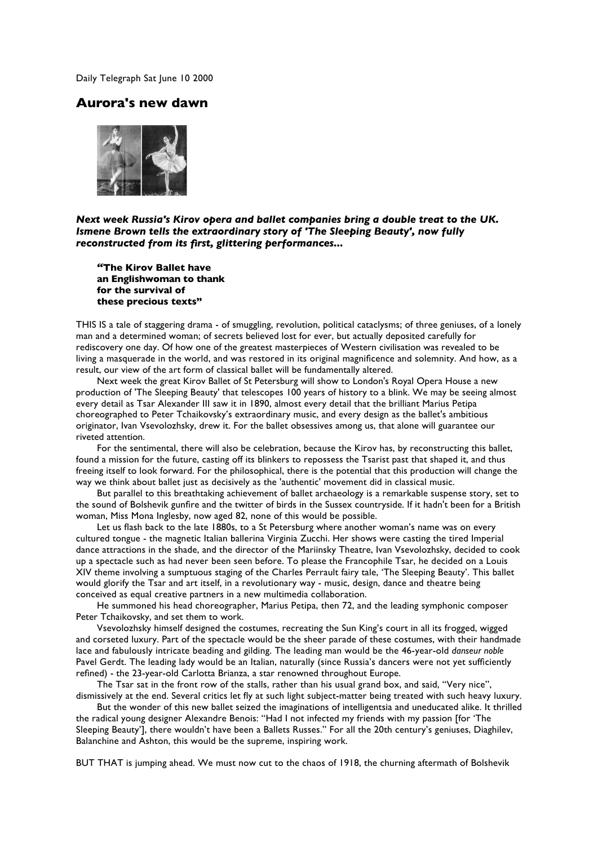Daily Telegraph Sat June 10 2000

## **Aurora's new dawn**



*Next week Russia's Kirov opera and ballet companies bring a double treat to the UK. Ismene Brown tells the extraordinary story of 'The Sleeping Beauty', now fully reconstructed from its first, glittering performances...*

*"***The Kirov Ballet have an Englishwoman to thank for the survival of these precious texts"**

THIS IS a tale of staggering drama - of smuggling, revolution, political cataclysms; of three geniuses, of a lonely man and a determined woman; of secrets believed lost for ever, but actually deposited carefully for rediscovery one day. Of how one of the greatest masterpieces of Western civilisation was revealed to be living a masquerade in the world, and was restored in its original magnificence and solemnity. And how, as a result, our view of the art form of classical ballet will be fundamentally altered.

Next week the great Kirov Ballet of St Petersburg will show to London's Royal Opera House a new production of 'The Sleeping Beauty' that telescopes 100 years of history to a blink. We may be seeing almost every detail as Tsar Alexander III saw it in 1890, almost every detail that the brilliant Marius Petipa choreographed to Peter Tchaikovsky's extraordinary music, and every design as the ballet's ambitious originator, Ivan Vsevolozhsky, drew it. For the ballet obsessives among us, that alone will guarantee our riveted attention.

For the sentimental, there will also be celebration, because the Kirov has, by reconstructing this ballet, found a mission for the future, casting off its blinkers to repossess the Tsarist past that shaped it, and thus freeing itself to look forward. For the philosophical, there is the potential that this production will change the way we think about ballet just as decisively as the 'authentic' movement did in classical music.

But parallel to this breathtaking achievement of ballet archaeology is a remarkable suspense story, set to the sound of Bolshevik gunfire and the twitter of birds in the Sussex countryside. If it hadn't been for a British woman, Miss Mona Inglesby, now aged 82, none of this would be possible.

Let us flash back to the late 1880s, to a St Petersburg where another woman's name was on every cultured tongue - the magnetic Italian ballerina Virginia Zucchi. Her shows were casting the tired Imperial dance attractions in the shade, and the director of the Mariinsky Theatre, Ivan Vsevolozhsky, decided to cook up a spectacle such as had never been seen before. To please the Francophile Tsar, he decided on a Louis XIV theme involving a sumptuous staging of the Charles Perrault fairy tale, 'The Sleeping Beauty'. This ballet would glorify the Tsar and art itself, in a revolutionary way - music, design, dance and theatre being conceived as equal creative partners in a new multimedia collaboration.

He summoned his head choreographer, Marius Petipa, then 72, and the leading symphonic composer Peter Tchaikovsky, and set them to work.

Vsevolozhsky himself designed the costumes, recreating the Sun King's court in all its frogged, wigged and corseted luxury. Part of the spectacle would be the sheer parade of these costumes, with their handmade lace and fabulously intricate beading and gilding. The leading man would be the 46-year-old *danseur noble* Pavel Gerdt. The leading lady would be an Italian, naturally (since Russia's dancers were not yet sufficiently refined) - the 23-year-old Carlotta Brianza, a star renowned throughout Europe.

The Tsar sat in the front row of the stalls, rather than his usual grand box, and said, "Very nice", dismissively at the end. Several critics let fly at such light subject-matter being treated with such heavy luxury.

But the wonder of this new ballet seized the imaginations of intelligentsia and uneducated alike. It thrilled the radical young designer Alexandre Benois: "Had I not infected my friends with my passion [for 'The Sleeping Beauty'], there wouldn't have been a Ballets Russes." For all the 20th century's geniuses, Diaghilev, Balanchine and Ashton, this would be the supreme, inspiring work.

BUT THAT is jumping ahead. We must now cut to the chaos of 1918, the churning aftermath of Bolshevik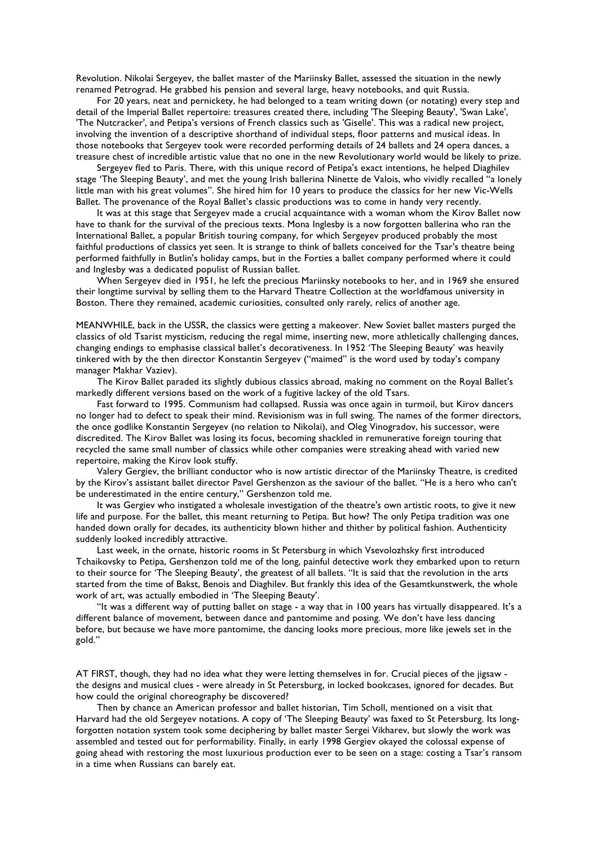Revolution. Nikolai Sergeyev, the ballet master of the Mariinsky Ballet, assessed the situation in the newly renamed Petrograd. He grabbed his pension and several large, heavy notebooks, and quit Russia.

For 20 years, neat and pernickety, he had belonged to a team writing down (or notating) every step and detail of the Imperial Ballet repertoire: treasures created there, including 'The Sleeping Beauty', 'Swan Lake', 'The Nutcracker', and Petipa's versions of French classics such as 'Giselle'. This was a radical new project, involving the invention of a descriptive shorthand of individual steps, floor patterns and musical ideas. In those notebooks that Sergeyev took were recorded performing details of 24 ballets and 24 opera dances, a treasure chest of incredible artistic value that no one in the new Revolutionary world would be likely to prize.

Sergeyev fled to Paris. There, with this unique record of Petipa's exact intentions, he helped Diaghilev stage 'The Sleeping Beauty', and met the young Irish ballerina Ninette de Valois, who vividly recalled "a lonely little man with his great volumes". She hired him for 10 years to produce the classics for her new Vic-Wells Ballet. The provenance of the Royal Ballet's classic productions was to come in handy very recently.

It was at this stage that Sergeyev made a crucial acquaintance with a woman whom the Kirov Ballet now have to thank for the survival of the precious texts. Mona Inglesby is a now forgotten ballerina who ran the International Ballet, a popular British touring company, for which Sergeyev produced probably the most faithful productions of classics yet seen. It is strange to think of ballets conceived for the Tsar's theatre being performed faithfully in Butlin's holiday camps, but in the Forties a ballet company performed where it could and Inglesby was a dedicated populist of Russian ballet.

When Sergeyev died in 1951, he left the precious Mariinsky notebooks to her, and in 1969 she ensured their longtime survival by selling them to the Harvard Theatre Collection at the worldfamous university in Boston. There they remained, academic curiosities, consulted only rarely, relics of another age.

MEANWHILE, back in the USSR, the classics were getting a makeover. New Soviet ballet masters purged the classics of old Tsarist mysticism, reducing the regal mime, inserting new, more athletically challenging dances, changing endings to emphasise classical ballet's decorativeness. In 1952 'The Sleeping Beauty' was heavily tinkered with by the then director Konstantin Sergeyev ("maimed" is the word used by today's company manager Makhar Vaziev).

The Kirov Ballet paraded its slightly dubious classics abroad, making no comment on the Royal Ballet's markedly different versions based on the work of a fugitive lackey of the old Tsars.

Fast forward to 1995. Communism had collapsed. Russia was once again in turmoil, but Kirov dancers no longer had to defect to speak their mind. Revisionism was in full swing. The names of the former directors, the once godlike Konstantin Sergeyev (no relation to Nikolai), and Oleg Vinogradov, his successor, were discredited. The Kirov Ballet was losing its focus, becoming shackled in remunerative foreign touring that recycled the same small number of classics while other companies were streaking ahead with varied new repertoire, making the Kirov look stuffy.

Valery Gergiev, the brilliant conductor who is now artistic director of the Mariinsky Theatre, is credited by the Kirov's assistant ballet director Pavel Gershenzon as the saviour of the ballet. "He is a hero who can't be underestimated in the entire century," Gershenzon told me.

It was Gergiev who instigated a wholesale investigation of the theatre's own artistic roots, to give it new life and purpose. For the ballet, this meant returning to Petipa. But how? The only Petipa tradition was one handed down orally for decades, its authenticity blown hither and thither by political fashion. Authenticity suddenly looked incredibly attractive.

Last week, in the ornate, historic rooms in St Petersburg in which Vsevolozhsky first introduced Tchaikovsky to Petipa, Gershenzon told me of the long, painful detective work they embarked upon to return to their source for 'The Sleeping Beauty', the greatest of all ballets. "It is said that the revolution in the arts started from the time of Bakst, Benois and Diaghilev. But frankly this idea of the Gesamtkunstwerk, the whole work of art, was actually embodied in 'The Sleeping Beauty'.

"It was a different way of putting ballet on stage - a way that in 100 years has virtually disappeared. It's a different balance of movement, between dance and pantomime and posing. We don't have less dancing before, but because we have more pantomime, the dancing looks more precious, more like jewels set in the gold."

AT FIRST, though, they had no idea what they were letting themselves in for. Crucial pieces of the jigsaw the designs and musical clues - were already in St Petersburg, in locked bookcases, ignored for decades. But how could the original choreography be discovered?

Then by chance an American professor and ballet historian, Tim Scholl, mentioned on a visit that Harvard had the old Sergeyev notations. A copy of 'The Sleeping Beauty' was faxed to St Petersburg. Its longforgotten notation system took some deciphering by ballet master Sergei Vikharev, but slowly the work was assembled and tested out for performability. Finally, in early 1998 Gergiev okayed the colossal expense of going ahead with restoring the most luxurious production ever to be seen on a stage: costing a Tsar's ransom in a time when Russians can barely eat.